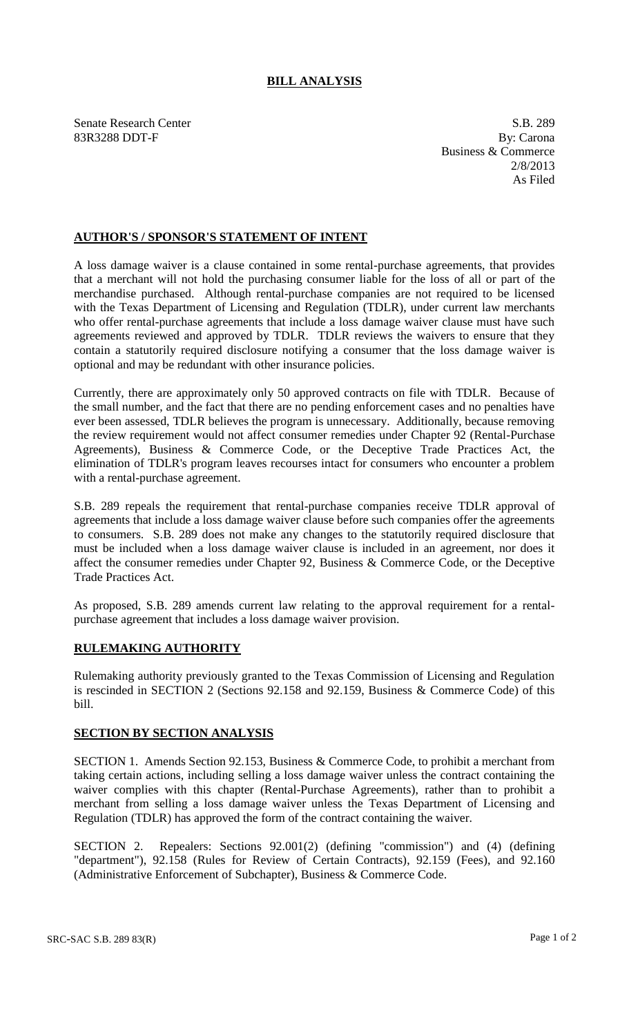## **BILL ANALYSIS**

Senate Research Center S.B. 289 83R3288 DDT-F By: Carona

Business & Commerce 2/8/2013 As Filed

## **AUTHOR'S / SPONSOR'S STATEMENT OF INTENT**

A loss damage waiver is a clause contained in some rental-purchase agreements, that provides that a merchant will not hold the purchasing consumer liable for the loss of all or part of the merchandise purchased. Although rental-purchase companies are not required to be licensed with the Texas Department of Licensing and Regulation (TDLR), under current law merchants who offer rental-purchase agreements that include a loss damage waiver clause must have such agreements reviewed and approved by TDLR. TDLR reviews the waivers to ensure that they contain a statutorily required disclosure notifying a consumer that the loss damage waiver is optional and may be redundant with other insurance policies.

Currently, there are approximately only 50 approved contracts on file with TDLR. Because of the small number, and the fact that there are no pending enforcement cases and no penalties have ever been assessed, TDLR believes the program is unnecessary. Additionally, because removing the review requirement would not affect consumer remedies under Chapter 92 (Rental-Purchase Agreements), Business & Commerce Code, or the Deceptive Trade Practices Act, the elimination of TDLR's program leaves recourses intact for consumers who encounter a problem with a rental-purchase agreement.

S.B. 289 repeals the requirement that rental-purchase companies receive TDLR approval of agreements that include a loss damage waiver clause before such companies offer the agreements to consumers. S.B. 289 does not make any changes to the statutorily required disclosure that must be included when a loss damage waiver clause is included in an agreement, nor does it affect the consumer remedies under Chapter 92, Business & Commerce Code, or the Deceptive Trade Practices Act.

As proposed, S.B. 289 amends current law relating to the approval requirement for a rentalpurchase agreement that includes a loss damage waiver provision.

## **RULEMAKING AUTHORITY**

Rulemaking authority previously granted to the Texas Commission of Licensing and Regulation is rescinded in SECTION 2 (Sections 92.158 and 92.159, Business & Commerce Code) of this bill.

## **SECTION BY SECTION ANALYSIS**

SECTION 1. Amends Section 92.153, Business & Commerce Code, to prohibit a merchant from taking certain actions, including selling a loss damage waiver unless the contract containing the waiver complies with this chapter (Rental-Purchase Agreements), rather than to prohibit a merchant from selling a loss damage waiver unless the Texas Department of Licensing and Regulation (TDLR) has approved the form of the contract containing the waiver.

SECTION 2. Repealers: Sections 92.001(2) (defining "commission") and (4) (defining "department"), 92.158 (Rules for Review of Certain Contracts), 92.159 (Fees), and 92.160 (Administrative Enforcement of Subchapter), Business & Commerce Code.